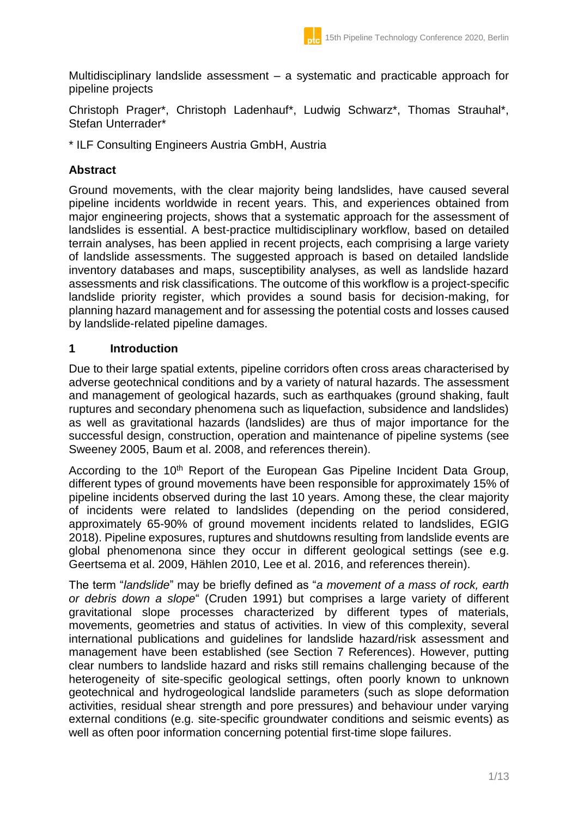Multidisciplinary landslide assessment – a systematic and practicable approach for pipeline projects

Christoph Prager\*, Christoph Ladenhauf\*, Ludwig Schwarz\*, Thomas Strauhal\*, Stefan Unterrader\*

\* ILF Consulting Engineers Austria GmbH, Austria

# **Abstract**

Ground movements, with the clear majority being landslides, have caused several pipeline incidents worldwide in recent years. This, and experiences obtained from major engineering projects, shows that a systematic approach for the assessment of landslides is essential. A best-practice multidisciplinary workflow, based on detailed terrain analyses, has been applied in recent projects, each comprising a large variety of landslide assessments. The suggested approach is based on detailed landslide inventory databases and maps, susceptibility analyses, as well as landslide hazard assessments and risk classifications. The outcome of this workflow is a project-specific landslide priority register, which provides a sound basis for decision-making, for planning hazard management and for assessing the potential costs and losses caused by landslide-related pipeline damages.

### **1 Introduction**

Due to their large spatial extents, pipeline corridors often cross areas characterised by adverse geotechnical conditions and by a variety of natural hazards. The assessment and management of geological hazards, such as earthquakes (ground shaking, fault ruptures and secondary phenomena such as liquefaction, subsidence and landslides) as well as gravitational hazards (landslides) are thus of major importance for the successful design, construction, operation and maintenance of pipeline systems (see Sweeney 2005, Baum et al. 2008, and references therein).

According to the 10<sup>th</sup> Report of the European Gas Pipeline Incident Data Group, different types of ground movements have been responsible for approximately 15% of pipeline incidents observed during the last 10 years. Among these, the clear majority of incidents were related to landslides (depending on the period considered, approximately 65-90% of ground movement incidents related to landslides, EGIG 2018). Pipeline exposures, ruptures and shutdowns resulting from landslide events are global phenomenona since they occur in different geological settings (see e.g. Geertsema et al. 2009, Hählen 2010, Lee et al. 2016, and references therein).

The term "*landslide*" may be briefly defined as "*a movement of a mass of rock, earth or debris down a slope*" (Cruden 1991) but comprises a large variety of different gravitational slope processes characterized by different types of materials, movements, geometries and status of activities. In view of this complexity, several international publications and guidelines for landslide hazard/risk assessment and management have been established (see Section 7 References). However, putting clear numbers to landslide hazard and risks still remains challenging because of the heterogeneity of site-specific geological settings, often poorly known to unknown geotechnical and hydrogeological landslide parameters (such as slope deformation activities, residual shear strength and pore pressures) and behaviour under varying external conditions (e.g. site-specific groundwater conditions and seismic events) as well as often poor information concerning potential first-time slope failures.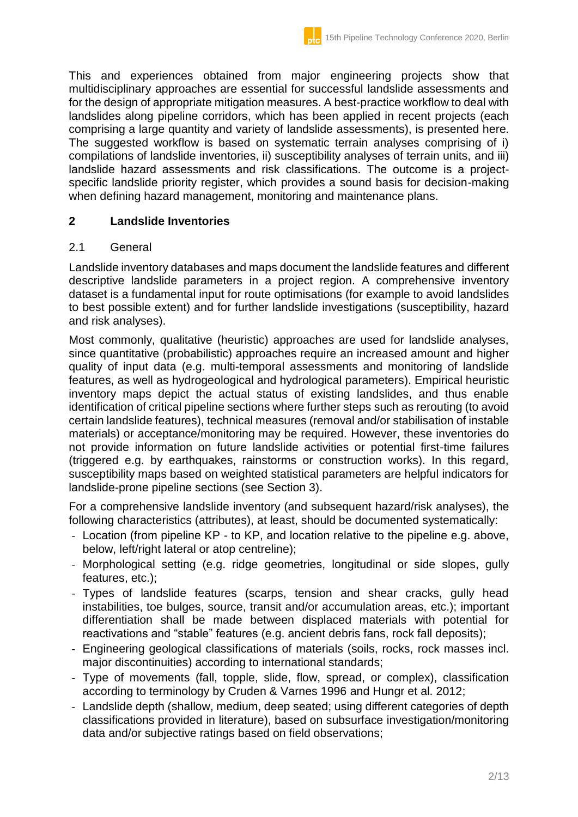This and experiences obtained from major engineering projects show that multidisciplinary approaches are essential for successful landslide assessments and for the design of appropriate mitigation measures. A best-practice workflow to deal with landslides along pipeline corridors, which has been applied in recent projects (each comprising a large quantity and variety of landslide assessments), is presented here. The suggested workflow is based on systematic terrain analyses comprising of i) compilations of landslide inventories, ii) susceptibility analyses of terrain units, and iii) landslide hazard assessments and risk classifications. The outcome is a projectspecific landslide priority register, which provides a sound basis for decision-making when defining hazard management, monitoring and maintenance plans.

#### **2 Landslide Inventories**

#### 2.1 General

Landslide inventory databases and maps document the landslide features and different descriptive landslide parameters in a project region. A comprehensive inventory dataset is a fundamental input for route optimisations (for example to avoid landslides to best possible extent) and for further landslide investigations (susceptibility, hazard and risk analyses).

Most commonly, qualitative (heuristic) approaches are used for landslide analyses, since quantitative (probabilistic) approaches require an increased amount and higher quality of input data (e.g. multi-temporal assessments and monitoring of landslide features, as well as hydrogeological and hydrological parameters). Empirical heuristic inventory maps depict the actual status of existing landslides, and thus enable identification of critical pipeline sections where further steps such as rerouting (to avoid certain landslide features), technical measures (removal and/or stabilisation of instable materials) or acceptance/monitoring may be required. However, these inventories do not provide information on future landslide activities or potential first-time failures (triggered e.g. by earthquakes, rainstorms or construction works). In this regard, susceptibility maps based on weighted statistical parameters are helpful indicators for landslide-prone pipeline sections (see Section 3).

For a comprehensive landslide inventory (and subsequent hazard/risk analyses), the following characteristics (attributes), at least, should be documented systematically:

- Location (from pipeline KP to KP, and location relative to the pipeline e.g. above, below, left/right lateral or atop centreline);
- Morphological setting (e.g. ridge geometries, longitudinal or side slopes, gully features, etc.);
- Types of landslide features (scarps, tension and shear cracks, gully head instabilities, toe bulges, source, transit and/or accumulation areas, etc.); important differentiation shall be made between displaced materials with potential for reactivations and "stable" features (e.g. ancient debris fans, rock fall deposits);
- Engineering geological classifications of materials (soils, rocks, rock masses incl. major discontinuities) according to international standards;
- Type of movements (fall, topple, slide, flow, spread, or complex), classification according to terminology by Cruden & Varnes 1996 and Hungr et al. 2012;
- Landslide depth (shallow, medium, deep seated; using different categories of depth classifications provided in literature), based on subsurface investigation/monitoring data and/or subjective ratings based on field observations;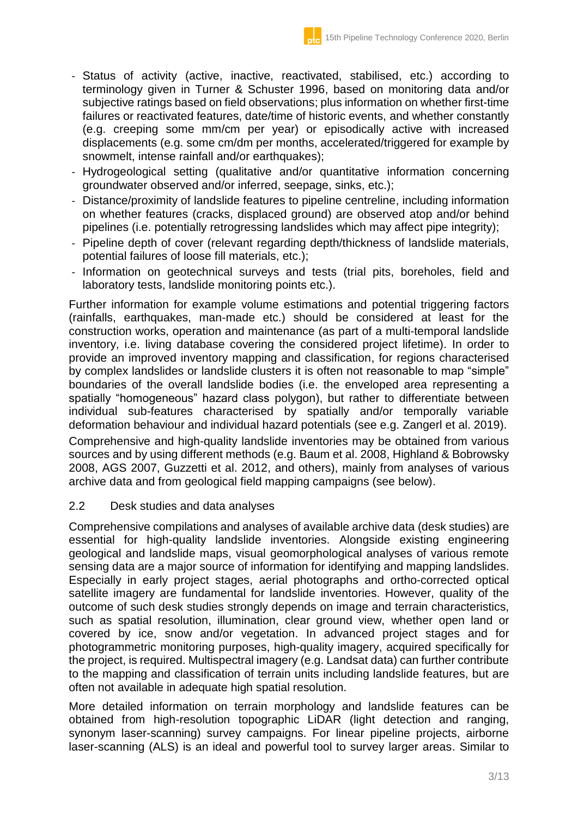- Status of activity (active, inactive, reactivated, stabilised, etc.) according to terminology given in Turner & Schuster 1996, based on monitoring data and/or subjective ratings based on field observations; plus information on whether first-time failures or reactivated features, date/time of historic events, and whether constantly (e.g. creeping some mm/cm per year) or episodically active with increased displacements (e.g. some cm/dm per months, accelerated/triggered for example by snowmelt, intense rainfall and/or earthquakes);
- Hydrogeological setting (qualitative and/or quantitative information concerning groundwater observed and/or inferred, seepage, sinks, etc.);
- Distance/proximity of landslide features to pipeline centreline, including information on whether features (cracks, displaced ground) are observed atop and/or behind pipelines (i.e. potentially retrogressing landslides which may affect pipe integrity);
- Pipeline depth of cover (relevant regarding depth/thickness of landslide materials, potential failures of loose fill materials, etc.);
- Information on geotechnical surveys and tests (trial pits, boreholes, field and laboratory tests, landslide monitoring points etc.).

Further information for example volume estimations and potential triggering factors (rainfalls, earthquakes, man-made etc.) should be considered at least for the construction works, operation and maintenance (as part of a multi-temporal landslide inventory, i.e. living database covering the considered project lifetime). In order to provide an improved inventory mapping and classification, for regions characterised by complex landslides or landslide clusters it is often not reasonable to map "simple" boundaries of the overall landslide bodies (i.e. the enveloped area representing a spatially "homogeneous" hazard class polygon), but rather to differentiate between individual sub-features characterised by spatially and/or temporally variable deformation behaviour and individual hazard potentials (see e.g. Zangerl et al. 2019).

Comprehensive and high-quality landslide inventories may be obtained from various sources and by using different methods (e.g. Baum et al. 2008, Highland & Bobrowsky 2008, AGS 2007, Guzzetti et al. 2012, and others), mainly from analyses of various archive data and from geological field mapping campaigns (see below).

### 2.2 Desk studies and data analyses

Comprehensive compilations and analyses of available archive data (desk studies) are essential for high-quality landslide inventories. Alongside existing engineering geological and landslide maps, visual geomorphological analyses of various remote sensing data are a major source of information for identifying and mapping landslides. Especially in early project stages, aerial photographs and ortho-corrected optical satellite imagery are fundamental for landslide inventories. However, quality of the outcome of such desk studies strongly depends on image and terrain characteristics, such as spatial resolution, illumination, clear ground view, whether open land or covered by ice, snow and/or vegetation. In advanced project stages and for photogrammetric monitoring purposes, high-quality imagery, acquired specifically for the project, is required. Multispectral imagery (e.g. Landsat data) can further contribute to the mapping and classification of terrain units including landslide features, but are often not available in adequate high spatial resolution.

More detailed information on terrain morphology and landslide features can be obtained from high-resolution topographic LiDAR (light detection and ranging, synonym laser-scanning) survey campaigns. For linear pipeline projects, airborne laser-scanning (ALS) is an ideal and powerful tool to survey larger areas. Similar to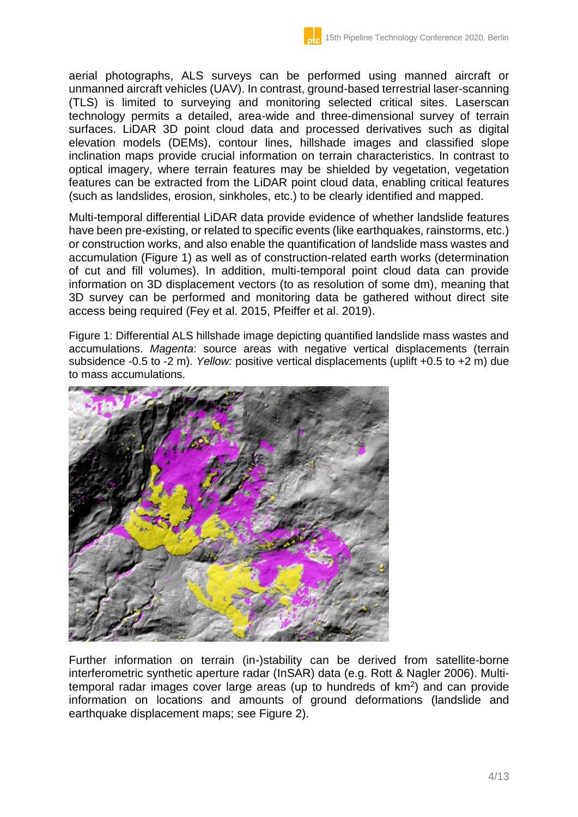aerial photographs, ALS surveys can be performed using manned aircraft or unmanned aircraft vehicles (UAV). In contrast, ground-based terrestrial laser-scanning (TLS) is limited to surveying and monitoring selected critical sites. Laserscan technology permits a detailed, area-wide and three-dimensional survey of terrain surfaces. LiDAR 3D point cloud data and processed derivatives such as digital elevation models (DEMs), contour lines, hillshade images and classified slope inclination maps provide crucial information on terrain characteristics. In contrast to optical imagery, where terrain features may be shielded by vegetation, vegetation features can be extracted from the LiDAR point cloud data, enabling critical features (such as landslides, erosion, sinkholes, etc.) to be clearly identified and mapped.

Multi-temporal differential LiDAR data provide evidence of whether landslide features have been pre-existing, or related to specific events (like earthquakes, rainstorms, etc.) or construction works, and also enable the quantification of landslide mass wastes and accumulation (Figure 1) as well as of construction-related earth works (determination of cut and fill volumes). In addition, multi-temporal point cloud data can provide information on 3D displacement vectors (to as resolution of some dm), meaning that 3D survey can be performed and monitoring data be gathered without direct site access being required (Fey et al. 2015, Pfeiffer et al. 2019).

Figure 1: Differential ALS hillshade image depicting quantified landslide mass wastes and accumulations. *Magenta*: source areas with negative vertical displacements (terrain subsidence -0.5 to -2 m). *Yellow:* positive vertical displacements (uplift +0.5 to +2 m) due to mass accumulations.



Further information on terrain (in-)stability can be derived from satellite-borne interferometric synthetic aperture radar (InSAR) data (e.g. Rott & Nagler 2006). Multitemporal radar images cover large areas (up to hundreds of  $km^2$ ) and can provide information on locations and amounts of ground deformations (landslide and earthquake displacement maps; see Figure 2).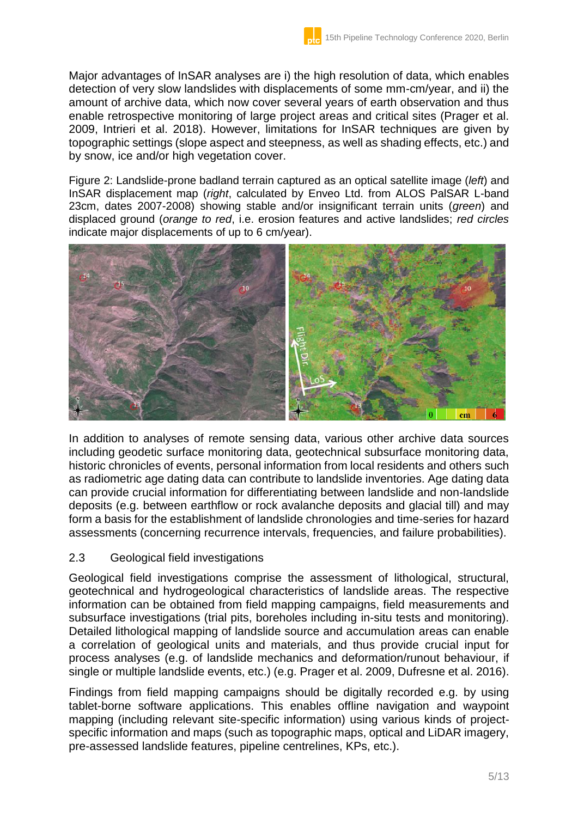Major advantages of InSAR analyses are i) the high resolution of data, which enables detection of very slow landslides with displacements of some mm-cm/year, and ii) the amount of archive data, which now cover several years of earth observation and thus enable retrospective monitoring of large project areas and critical sites (Prager et al. 2009, Intrieri et al. 2018). However, limitations for InSAR techniques are given by topographic settings (slope aspect and steepness, as well as shading effects, etc.) and by snow, ice and/or high vegetation cover.

Figure 2: Landslide-prone badland terrain captured as an optical satellite image (*left*) and InSAR displacement map (*right*, calculated by Enveo Ltd. from ALOS PalSAR L-band 23cm, dates 2007-2008) showing stable and/or insignificant terrain units (*green*) and displaced ground (*orange to red*, i.e. erosion features and active landslides; *red circles* indicate major displacements of up to 6 cm/year).



In addition to analyses of remote sensing data, various other archive data sources including geodetic surface monitoring data, geotechnical subsurface monitoring data, historic chronicles of events, personal information from local residents and others such as radiometric age dating data can contribute to landslide inventories. Age dating data can provide crucial information for differentiating between landslide and non-landslide deposits (e.g. between earthflow or rock avalanche deposits and glacial till) and may form a basis for the establishment of landslide chronologies and time-series for hazard assessments (concerning recurrence intervals, frequencies, and failure probabilities).

### 2.3 Geological field investigations

Geological field investigations comprise the assessment of lithological, structural, geotechnical and hydrogeological characteristics of landslide areas. The respective information can be obtained from field mapping campaigns, field measurements and subsurface investigations (trial pits, boreholes including in-situ tests and monitoring). Detailed lithological mapping of landslide source and accumulation areas can enable a correlation of geological units and materials, and thus provide crucial input for process analyses (e.g. of landslide mechanics and deformation/runout behaviour, if single or multiple landslide events, etc.) (e.g. Prager et al. 2009, Dufresne et al. 2016).

Findings from field mapping campaigns should be digitally recorded e.g. by using tablet-borne software applications. This enables offline navigation and waypoint mapping (including relevant site-specific information) using various kinds of projectspecific information and maps (such as topographic maps, optical and LiDAR imagery, pre-assessed landslide features, pipeline centrelines, KPs, etc.).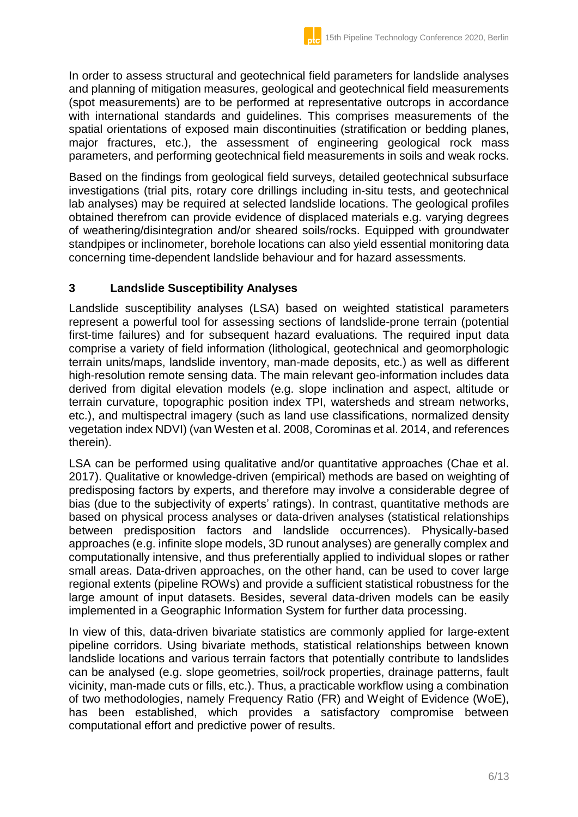In order to assess structural and geotechnical field parameters for landslide analyses and planning of mitigation measures, geological and geotechnical field measurements (spot measurements) are to be performed at representative outcrops in accordance with international standards and guidelines. This comprises measurements of the spatial orientations of exposed main discontinuities (stratification or bedding planes, major fractures, etc.), the assessment of engineering geological rock mass parameters, and performing geotechnical field measurements in soils and weak rocks.

Based on the findings from geological field surveys, detailed geotechnical subsurface investigations (trial pits, rotary core drillings including in-situ tests, and geotechnical lab analyses) may be required at selected landslide locations. The geological profiles obtained therefrom can provide evidence of displaced materials e.g. varying degrees of weathering/disintegration and/or sheared soils/rocks. Equipped with groundwater standpipes or inclinometer, borehole locations can also yield essential monitoring data concerning time-dependent landslide behaviour and for hazard assessments.

# **3 Landslide Susceptibility Analyses**

Landslide susceptibility analyses (LSA) based on weighted statistical parameters represent a powerful tool for assessing sections of landslide-prone terrain (potential first-time failures) and for subsequent hazard evaluations. The required input data comprise a variety of field information (lithological, geotechnical and geomorphologic terrain units/maps, landslide inventory, man-made deposits, etc.) as well as different high-resolution remote sensing data. The main relevant geo-information includes data derived from digital elevation models (e.g. slope inclination and aspect, altitude or terrain curvature, topographic position index TPI, watersheds and stream networks, etc.), and multispectral imagery (such as land use classifications, normalized density vegetation index NDVI) (van Westen et al. 2008, Corominas et al. 2014, and references therein).

LSA can be performed using qualitative and/or quantitative approaches (Chae et al. 2017). Qualitative or knowledge-driven (empirical) methods are based on weighting of predisposing factors by experts, and therefore may involve a considerable degree of bias (due to the subjectivity of experts' ratings). In contrast, quantitative methods are based on physical process analyses or data-driven analyses (statistical relationships between predisposition factors and landslide occurrences). Physically-based approaches (e.g. infinite slope models, 3D runout analyses) are generally complex and computationally intensive, and thus preferentially applied to individual slopes or rather small areas. Data-driven approaches, on the other hand, can be used to cover large regional extents (pipeline ROWs) and provide a sufficient statistical robustness for the large amount of input datasets. Besides, several data-driven models can be easily implemented in a Geographic Information System for further data processing.

In view of this, data-driven bivariate statistics are commonly applied for large-extent pipeline corridors. Using bivariate methods, statistical relationships between known landslide locations and various terrain factors that potentially contribute to landslides can be analysed (e.g. slope geometries, soil/rock properties, drainage patterns, fault vicinity, man-made cuts or fills, etc.). Thus, a practicable workflow using a combination of two methodologies, namely Frequency Ratio (FR) and Weight of Evidence (WoE), has been established, which provides a satisfactory compromise between computational effort and predictive power of results.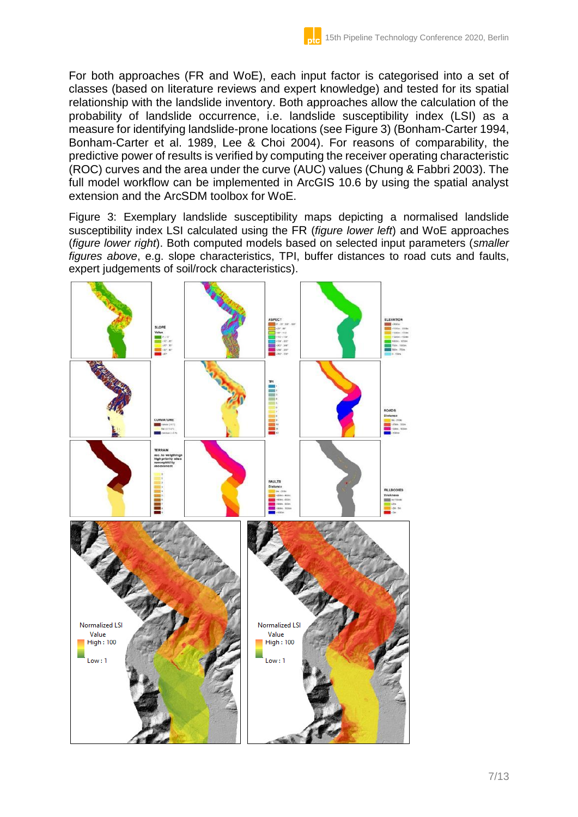For both approaches (FR and WoE), each input factor is categorised into a set of classes (based on literature reviews and expert knowledge) and tested for its spatial relationship with the landslide inventory. Both approaches allow the calculation of the probability of landslide occurrence, i.e. landslide susceptibility index (LSI) as a measure for identifying landslide-prone locations (see Figure 3) (Bonham-Carter 1994, Bonham-Carter et al. 1989, Lee & Choi 2004). For reasons of comparability, the predictive power of results is verified by computing the receiver operating characteristic (ROC) curves and the area under the curve (AUC) values (Chung & Fabbri 2003). The full model workflow can be implemented in ArcGIS 10.6 by using the spatial analyst extension and the ArcSDM toolbox for WoE.

Figure 3: Exemplary landslide susceptibility maps depicting a normalised landslide susceptibility index LSI calculated using the FR (*figure lower left*) and WoE approaches (*figure lower right*). Both computed models based on selected input parameters (*smaller figures above*, e.g. slope characteristics, TPI, buffer distances to road cuts and faults, expert judgements of soil/rock characteristics).

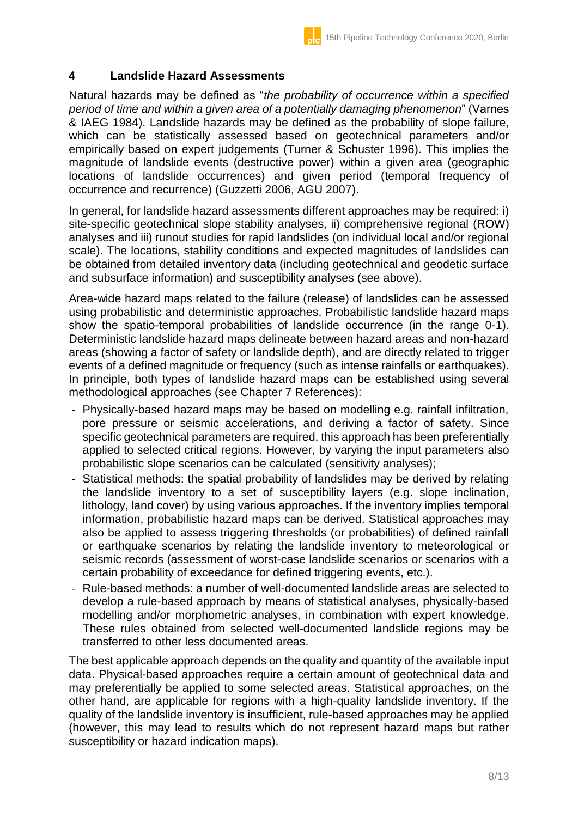### **4 Landslide Hazard Assessments**

Natural hazards may be defined as "*the probability of occurrence within a specified period of time and within a given area of a potentially damaging phenomenon*" (Varnes & IAEG 1984). Landslide hazards may be defined as the probability of slope failure, which can be statistically assessed based on geotechnical parameters and/or empirically based on expert judgements (Turner & Schuster 1996). This implies the magnitude of landslide events (destructive power) within a given area (geographic locations of landslide occurrences) and given period (temporal frequency of occurrence and recurrence) (Guzzetti 2006, AGU 2007).

In general, for landslide hazard assessments different approaches may be required: i) site-specific geotechnical slope stability analyses, ii) comprehensive regional (ROW) analyses and iii) runout studies for rapid landslides (on individual local and/or regional scale). The locations, stability conditions and expected magnitudes of landslides can be obtained from detailed inventory data (including geotechnical and geodetic surface and subsurface information) and susceptibility analyses (see above).

Area-wide hazard maps related to the failure (release) of landslides can be assessed using probabilistic and deterministic approaches. Probabilistic landslide hazard maps show the spatio-temporal probabilities of landslide occurrence (in the range 0-1). Deterministic landslide hazard maps delineate between hazard areas and non-hazard areas (showing a factor of safety or landslide depth), and are directly related to trigger events of a defined magnitude or frequency (such as intense rainfalls or earthquakes). In principle, both types of landslide hazard maps can be established using several methodological approaches (see Chapter 7 References):

- Physically-based hazard maps may be based on modelling e.g. rainfall infiltration, pore pressure or seismic accelerations, and deriving a factor of safety. Since specific geotechnical parameters are required, this approach has been preferentially applied to selected critical regions. However, by varying the input parameters also probabilistic slope scenarios can be calculated (sensitivity analyses);
- Statistical methods: the spatial probability of landslides may be derived by relating the landslide inventory to a set of susceptibility layers (e.g. slope inclination, lithology, land cover) by using various approaches. If the inventory implies temporal information, probabilistic hazard maps can be derived. Statistical approaches may also be applied to assess triggering thresholds (or probabilities) of defined rainfall or earthquake scenarios by relating the landslide inventory to meteorological or seismic records (assessment of worst-case landslide scenarios or scenarios with a certain probability of exceedance for defined triggering events, etc.).
- Rule-based methods: a number of well-documented landslide areas are selected to develop a rule-based approach by means of statistical analyses, physically-based modelling and/or morphometric analyses, in combination with expert knowledge. These rules obtained from selected well-documented landslide regions may be transferred to other less documented areas.

The best applicable approach depends on the quality and quantity of the available input data. Physical-based approaches require a certain amount of geotechnical data and may preferentially be applied to some selected areas. Statistical approaches, on the other hand, are applicable for regions with a high-quality landslide inventory. If the quality of the landslide inventory is insufficient, rule-based approaches may be applied (however, this may lead to results which do not represent hazard maps but rather susceptibility or hazard indication maps).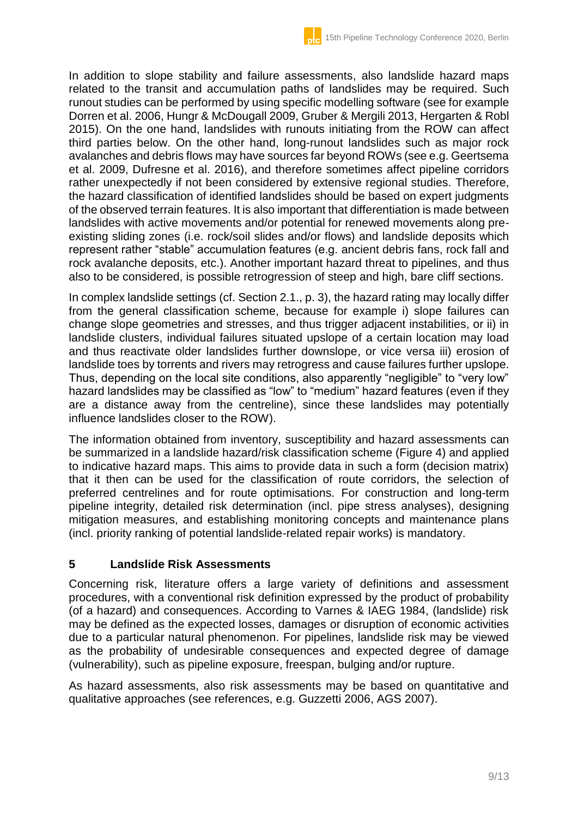In addition to slope stability and failure assessments, also landslide hazard maps related to the transit and accumulation paths of landslides may be required. Such runout studies can be performed by using specific modelling software (see for example Dorren et al. 2006, Hungr & McDougall 2009, Gruber & Mergili 2013, Hergarten & Robl 2015). On the one hand, landslides with runouts initiating from the ROW can affect third parties below. On the other hand, long-runout landslides such as major rock avalanches and debris flows may have sources far beyond ROWs (see e.g. Geertsema et al. 2009, Dufresne et al. 2016), and therefore sometimes affect pipeline corridors rather unexpectedly if not been considered by extensive regional studies. Therefore, the hazard classification of identified landslides should be based on expert judgments of the observed terrain features. It is also important that differentiation is made between landslides with active movements and/or potential for renewed movements along preexisting sliding zones (i.e. rock/soil slides and/or flows) and landslide deposits which represent rather "stable" accumulation features (e.g. ancient debris fans, rock fall and rock avalanche deposits, etc.). Another important hazard threat to pipelines, and thus also to be considered, is possible retrogression of steep and high, bare cliff sections.

In complex landslide settings (cf. Section 2.1., p. 3), the hazard rating may locally differ from the general classification scheme, because for example i) slope failures can change slope geometries and stresses, and thus trigger adjacent instabilities, or ii) in landslide clusters, individual failures situated upslope of a certain location may load and thus reactivate older landslides further downslope, or vice versa iii) erosion of landslide toes by torrents and rivers may retrogress and cause failures further upslope. Thus, depending on the local site conditions, also apparently "negligible" to "very low" hazard landslides may be classified as "low" to "medium" hazard features (even if they are a distance away from the centreline), since these landslides may potentially influence landslides closer to the ROW).

The information obtained from inventory, susceptibility and hazard assessments can be summarized in a landslide hazard/risk classification scheme (Figure 4) and applied to indicative hazard maps. This aims to provide data in such a form (decision matrix) that it then can be used for the classification of route corridors, the selection of preferred centrelines and for route optimisations. For construction and long-term pipeline integrity, detailed risk determination (incl. pipe stress analyses), designing mitigation measures, and establishing monitoring concepts and maintenance plans (incl. priority ranking of potential landslide-related repair works) is mandatory.

# **5 Landslide Risk Assessments**

Concerning risk, literature offers a large variety of definitions and assessment procedures, with a conventional risk definition expressed by the product of probability (of a hazard) and consequences. According to Varnes & IAEG 1984, (landslide) risk may be defined as the expected losses, damages or disruption of economic activities due to a particular natural phenomenon. For pipelines, landslide risk may be viewed as the probability of undesirable consequences and expected degree of damage (vulnerability), such as pipeline exposure, freespan, bulging and/or rupture.

As hazard assessments, also risk assessments may be based on quantitative and qualitative approaches (see references, e.g. Guzzetti 2006, AGS 2007).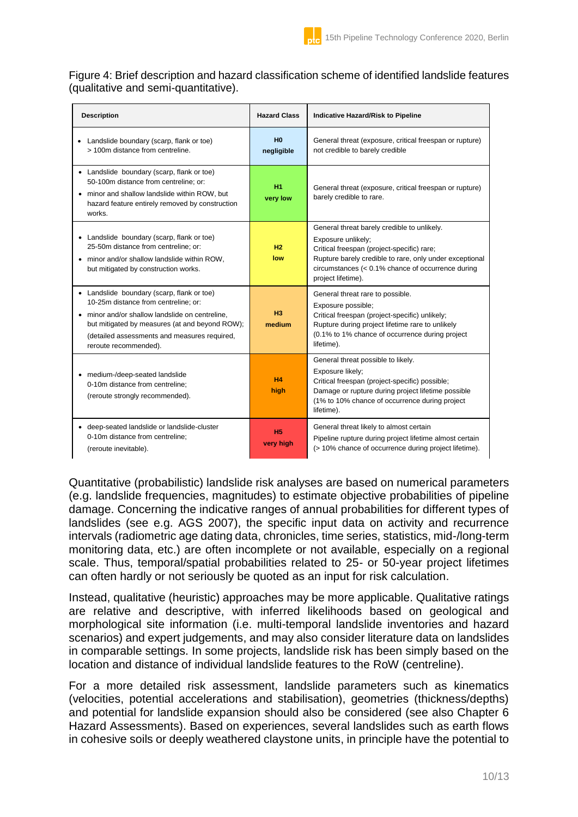#### Figure 4: Brief description and hazard classification scheme of identified landslide features (qualitative and semi-quantitative).

| <b>Description</b>                                                                                                                                                                                                                                               | <b>Hazard Class</b>          | Indicative Hazard/Risk to Pipeline                                                                                                                                                                                                                      |
|------------------------------------------------------------------------------------------------------------------------------------------------------------------------------------------------------------------------------------------------------------------|------------------------------|---------------------------------------------------------------------------------------------------------------------------------------------------------------------------------------------------------------------------------------------------------|
| • Landslide boundary (scarp, flank or toe)<br>> 100m distance from centreline.                                                                                                                                                                                   | H <sub>0</sub><br>negligible | General threat (exposure, critical freespan or rupture)<br>not credible to barely credible                                                                                                                                                              |
| • Landslide boundary (scarp, flank or toe)<br>50-100m distance from centreline; or:<br>• minor and shallow landslide within ROW, but<br>hazard feature entirely removed by construction<br>works.                                                                | H <sub>1</sub><br>very low   | General threat (exposure, critical freespan or rupture)<br>barely credible to rare.                                                                                                                                                                     |
| • Landslide boundary (scarp, flank or toe)<br>25-50m distance from centreline; or:<br>• minor and/or shallow landslide within ROW,<br>but mitigated by construction works.                                                                                       | H2<br>low                    | General threat barely credible to unlikely.<br>Exposure unlikely;<br>Critical freespan (project-specific) rare;<br>Rupture barely credible to rare, only under exceptional<br>circumstances $(0.1\% chance of occurrence during)$<br>project lifetime). |
| • Landslide boundary (scarp, flank or toe)<br>10-25m distance from centreline; or:<br>• minor and/or shallow landslide on centreline,<br>but mitigated by measures (at and beyond ROW);<br>(detailed assessments and measures required,<br>reroute recommended). | H3<br>medium                 | General threat rare to possible.<br>Exposure possible;<br>Critical freespan (project-specific) unlikely;<br>Rupture during project lifetime rare to unlikely<br>(0.1% to 1% chance of occurrence during project<br>lifetime).                           |
| • medium-/deep-seated landslide<br>0-10m distance from centreline:<br>(reroute strongly recommended).                                                                                                                                                            | H <sub>4</sub><br>high       | General threat possible to likely.<br>Exposure likely;<br>Critical freespan (project-specific) possible;<br>Damage or rupture during project lifetime possible<br>(1% to 10% chance of occurrence during project<br>lifetime).                          |
| • deep-seated landslide or landslide-cluster<br>0-10m distance from centreline;<br>(reroute inevitable).                                                                                                                                                         | H <sub>5</sub><br>very high  | General threat likely to almost certain<br>Pipeline rupture during project lifetime almost certain<br>(> 10% chance of occurrence during project lifetime).                                                                                             |

Quantitative (probabilistic) landslide risk analyses are based on numerical parameters (e.g. landslide frequencies, magnitudes) to estimate objective probabilities of pipeline damage. Concerning the indicative ranges of annual probabilities for different types of landslides (see e.g. AGS 2007), the specific input data on activity and recurrence intervals (radiometric age dating data, chronicles, time series, statistics, mid-/long-term monitoring data, etc.) are often incomplete or not available, especially on a regional scale. Thus, temporal/spatial probabilities related to 25- or 50-year project lifetimes can often hardly or not seriously be quoted as an input for risk calculation.

Instead, qualitative (heuristic) approaches may be more applicable. Qualitative ratings are relative and descriptive, with inferred likelihoods based on geological and morphological site information (i.e. multi-temporal landslide inventories and hazard scenarios) and expert judgements, and may also consider literature data on landslides in comparable settings. In some projects, landslide risk has been simply based on the location and distance of individual landslide features to the RoW (centreline).

For a more detailed risk assessment, landslide parameters such as kinematics (velocities, potential accelerations and stabilisation), geometries (thickness/depths) and potential for landslide expansion should also be considered (see also Chapter 6 Hazard Assessments). Based on experiences, several landslides such as earth flows in cohesive soils or deeply weathered claystone units, in principle have the potential to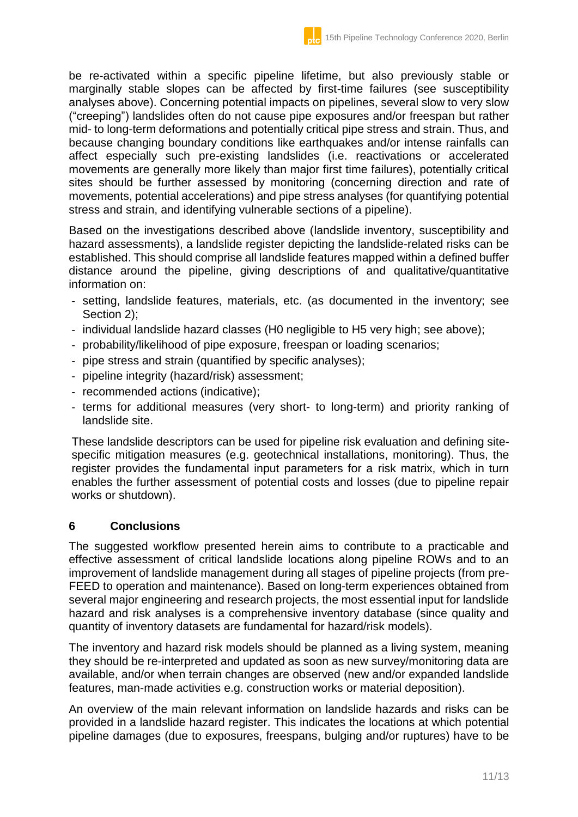be re-activated within a specific pipeline lifetime, but also previously stable or marginally stable slopes can be affected by first-time failures (see susceptibility analyses above). Concerning potential impacts on pipelines, several slow to very slow ("creeping") landslides often do not cause pipe exposures and/or freespan but rather mid- to long-term deformations and potentially critical pipe stress and strain. Thus, and because changing boundary conditions like earthquakes and/or intense rainfalls can affect especially such pre-existing landslides (i.e. reactivations or accelerated movements are generally more likely than major first time failures), potentially critical sites should be further assessed by monitoring (concerning direction and rate of movements, potential accelerations) and pipe stress analyses (for quantifying potential stress and strain, and identifying vulnerable sections of a pipeline).

Based on the investigations described above (landslide inventory, susceptibility and hazard assessments), a landslide register depicting the landslide-related risks can be established. This should comprise all landslide features mapped within a defined buffer distance around the pipeline, giving descriptions of and qualitative/quantitative information on:

- setting, landslide features, materials, etc. (as documented in the inventory; see Section 2);
- individual landslide hazard classes (H0 negligible to H5 very high; see above);
- probability/likelihood of pipe exposure, freespan or loading scenarios;
- pipe stress and strain (quantified by specific analyses);
- pipeline integrity (hazard/risk) assessment;
- recommended actions (indicative);
- terms for additional measures (very short- to long-term) and priority ranking of landslide site.

These landslide descriptors can be used for pipeline risk evaluation and defining sitespecific mitigation measures (e.g. geotechnical installations, monitoring). Thus, the register provides the fundamental input parameters for a risk matrix, which in turn enables the further assessment of potential costs and losses (due to pipeline repair works or shutdown).

# **6 Conclusions**

The suggested workflow presented herein aims to contribute to a practicable and effective assessment of critical landslide locations along pipeline ROWs and to an improvement of landslide management during all stages of pipeline projects (from pre-FEED to operation and maintenance). Based on long-term experiences obtained from several major engineering and research projects, the most essential input for landslide hazard and risk analyses is a comprehensive inventory database (since quality and quantity of inventory datasets are fundamental for hazard/risk models).

The inventory and hazard risk models should be planned as a living system, meaning they should be re-interpreted and updated as soon as new survey/monitoring data are available, and/or when terrain changes are observed (new and/or expanded landslide features, man-made activities e.g. construction works or material deposition).

An overview of the main relevant information on landslide hazards and risks can be provided in a landslide hazard register. This indicates the locations at which potential pipeline damages (due to exposures, freespans, bulging and/or ruptures) have to be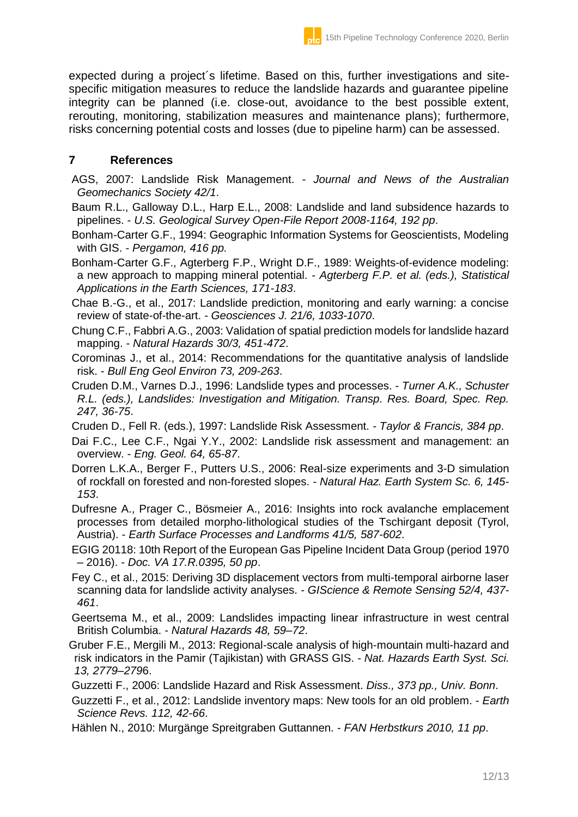expected during a project´s lifetime. Based on this, further investigations and sitespecific mitigation measures to reduce the landslide hazards and guarantee pipeline integrity can be planned (i.e. close-out, avoidance to the best possible extent, rerouting, monitoring, stabilization measures and maintenance plans); furthermore, risks concerning potential costs and losses (due to pipeline harm) can be assessed.

### **7 References**

AGS, 2007: Landslide Risk Management. - *Journal and News of the Australian Geomechanics Society 42/1*.

Baum R.L., Galloway D.L., Harp E.L., 2008: Landslide and land subsidence hazards to pipelines. - *U.S. Geological Survey Open-File Report 2008-1164, 192 pp*.

Bonham-Carter G.F., 1994: Geographic Information Systems for Geoscientists, Modeling with GIS. - *Pergamon, 416 pp.*

Bonham-Carter G.F., Agterberg F.P., Wright D.F., 1989: Weights-of-evidence modeling: a new approach to mapping mineral potential. - *Agterberg F.P. et al. (eds.), Statistical Applications in the Earth Sciences, 171-183*.

Chae B.-G., et al., 2017: Landslide prediction, monitoring and early warning: a concise review of state-of-the-art. - *Geosciences J. 21/6, 1033-1070*.

Chung C.F., Fabbri A.G., 2003: Validation of spatial prediction models for landslide hazard mapping. - *Natural Hazards 30/3, 451-472*.

Corominas J., et al., 2014: Recommendations for the quantitative analysis of landslide risk. - *Bull Eng Geol Environ 73, 209-263*.

Cruden D.M., Varnes D.J., 1996: Landslide types and processes. - *Turner A.K., Schuster R.L. (eds.), Landslides: Investigation and Mitigation. Transp. Res. Board, Spec. Rep. 247, 36-75*.

Cruden D., Fell R. (eds.), 1997: Landslide Risk Assessment. - *Taylor & Francis, 384 pp*.

- Dai F.C., Lee C.F., Ngai Y.Y., 2002: Landslide risk assessment and management: an overview. - *Eng. Geol. 64, 65-87*.
- Dorren L.K.A., Berger F., Putters U.S., 2006: Real-size experiments and 3-D simulation of rockfall on forested and non-forested slopes. - *Natural Haz. Earth System Sc. 6, 145- 153*.

Dufresne A., Prager C., Bösmeier A., 2016: Insights into rock avalanche emplacement processes from detailed morpho-lithological studies of the Tschirgant deposit (Tyrol, Austria). - *Earth Surface Processes and Landforms 41/5, 587-602*.

- EGIG 20118: 10th Report of the European Gas Pipeline Incident Data Group (period 1970 – 2016). - *Doc. VA 17.R.0395, 50 pp*.
- Fey C., et al., 2015: Deriving 3D displacement vectors from multi-temporal airborne laser scanning data for landslide activity analyses. - *GIScience & Remote Sensing 52/4, 437- 461*.

Geertsema M., et al., 2009: Landslides impacting linear infrastructure in west central British Columbia. - *Natural Hazards 48, 59–72*.

Gruber F.E., Mergili M., 2013: Regional-scale analysis of high-mountain multi-hazard and risk indicators in the Pamir (Tajikistan) with GRASS GIS. - *Nat. Hazards Earth Syst. Sci. 13, 2779–279*6.

Guzzetti F., 2006: Landslide Hazard and Risk Assessment. *Diss., 373 pp., Univ. Bonn*.

Guzzetti F., et al., 2012: Landslide inventory maps: New tools for an old problem. - *Earth Science Revs. 112, 42-66*.

Hählen N., 2010: Murgänge Spreitgraben Guttannen. - *FAN Herbstkurs 2010, 11 pp*.